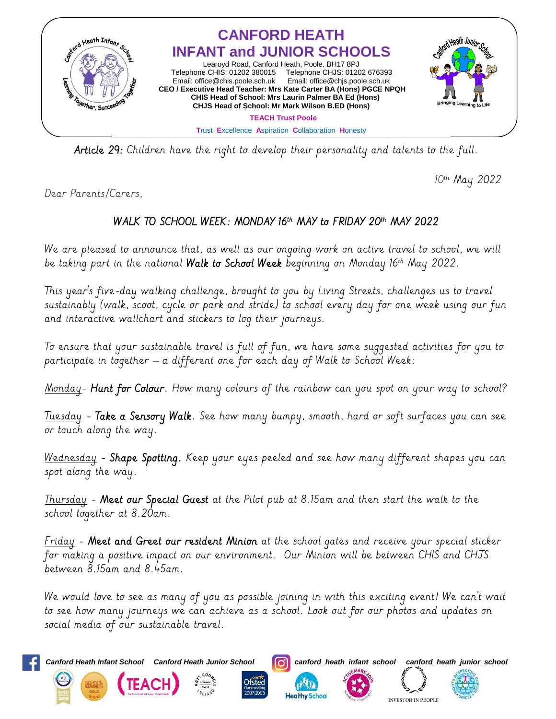

Article 29: Children have the right to develop their personality and talents to the full.

10th May 2022

Dear Parents/Carers,

## WALK TO SCHOOL WEEK: MONDAY 16th MAY to FRIDAY 20th MAY 2022

We are pleased to announce that, as well as our ongoing work on active travel to school, we will be taking part in the national **Walk to School Week** beginning on Monday 16th May 2022.

This year's five-day walking challenge, brought to you by Living Streets, challenges us to travel sustainably (walk, scoot, cycle or park and stride) to school every day for one week using our fun and interactive wallchart and stickers to log their journeys.

To ensure that your sustainable travel is full of fun, we have some suggested activities for you to participate in together – a different one for each day of Walk to School Week:

<u>Monday</u>- **Hunt for Colour**. How many colours of the rainbow can you spot on your way to school?

Tuesday - Take a Sensory Walk. See how many bumpy, smooth, hard or soft surfaces you can see or touch along the way.

Wednesday - Shape Spotting. Keep your eyes peeled and see how many different shapes you can spot along the way.

Thursday - Meet our Special Guest at the Pilot pub at 8.15am and then start the walk to the school together at 8.20am.

Friday - Meet and Greet our resident Minion at the school gates and receive your special sticker for making a positive impact on our environment. Our Minion will be between CHIS and CHJS between 8.15am and 8.45am.

We would love to see as many of you as possible joining in with this exciting event! We can't wait to see how many journeys we can achieve as a school. Look out for our photos and updates on social media of our sustainable travel.